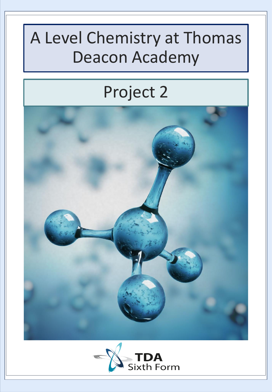## A Level Chemistry at Thomas Deacon Academy

### Project 2



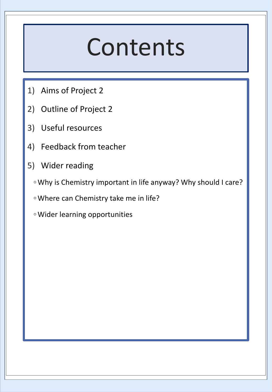# Contents

- 1) Aims of Project 2
- 2) Outline of Project 2
- 3) Useful resources
- 4) Feedback from teacher
- 5) Wider reading
	- Why is Chemistry important in life anyway? Why should I care?
	- Where can Chemistry take me in life?
	- Wider learning opportunities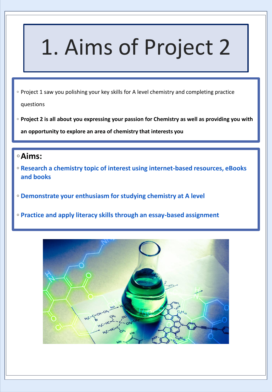# 1. Aims of Project 2

- Project 1 saw you polishing your key skills for A level chemistry and completing practice questions
- **Project 2 is all about you expressing your passion for Chemistry as well as providing you with an opportunity to explore an area of chemistry that interests you**

### ◦**Aims:**

- **Research a chemistry topic of interest using internet-based resources, eBooks and books**
- **Demonstrate your enthusiasm for studying chemistry at A level**
- **Practice and apply literacy skills through an essay-based assignment**

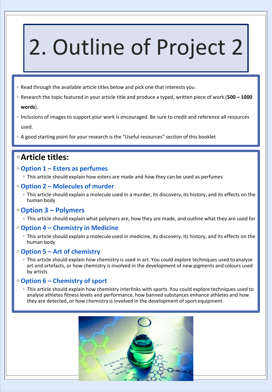# 2. Outline of Project 2

- Read through the available article titles below and pick one that interests you
- Research the topic featured in your article title and produce a typed, written piece of work (**500 – 1000 words**).
- Inclusions of images to support your work is encouraged. Be sure to credit and reference all resources used.
- A good starting point for your research is the "Useful resources" section of this booklet

### ◦**Article titles:**

- **Option 1 – Esters as perfumes** 
	- This article should explain how esters are made and how they can be used as perfumes

#### ◦ **Option 2 – Molecules of murder**

◦ This article should explain a molecule used in a murder, its discovery, its history, and its effects on the human body

#### ◦ **Option 3 – Polymers**

◦ This article should explain what polymers are, how they are made, and outline what they are used for

#### ◦ **Option 4 – Chemistry in Medicine**

◦ This article should explain a molecule used in medicine, its discovery, its history, and its effects on the human body

#### ◦ **Option 5 – Art of chemistry**

◦ This article should explain how chemistry is used in art. You could explore techniques used to analyse art and artefacts, or how chemistry is involved in the development of new pigments and colours used by artists

#### ◦ **Option 6 – Chemistry of sport**

◦ This article should explain how chemistry interlinks with sports. You could explore techniques used to analyse athletes fitness levels and performance, how banned substances enhance athletes and how they are detected, or how chemistry is involved in the development of sport equipment.

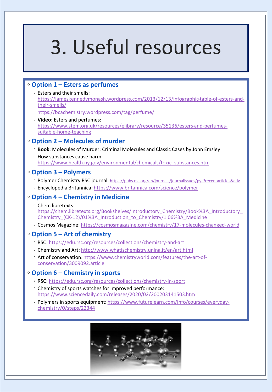# 3. Useful resources

#### ◦ **Option 1 – Esters as perfumes**

- Esters and their smells: [https://jameskennedymonash.wordpress.com/2013/12/13/infographic-table-of-esters-and](https://jameskennedymonash.wordpress.com/2013/12/13/infographic-table-of-esters-and-their-smells/)their-smells/ <https://bcachemistry.wordpress.com/tag/perfume/>
- **Video**: Esters and perfumes: [https://www.stem.org.uk/resources/elibrary/resource/35136/esters-and-perfumes](https://www.stem.org.uk/resources/elibrary/resource/35136/esters-and-perfumes-suitable-home-teaching)suitable-home-teaching

#### ◦ **Option 2 – Molecules of murder**

- **Book**: Molecules of Murder: Criminal Molecules and Classic Cases by John Emsley
- How substances cause harm: [https://www.health.ny.gov/environmental/chemicals/toxic\\_substances.htm](https://www.health.ny.gov/environmental/chemicals/toxic_substances.htm)

#### ◦ **Option 3 – Polymers**

- Polymer Chemistry RSC journal: <https://pubs.rsc.org/en/journals/journalissues/py#!recentarticles&adv>
- Encyclopedia Britannica:<https://www.britannica.com/science/polymer>

#### ◦ **Option 4 – Chemistry in Medicine**

- Chem libretexts: [https://chem.libretexts.org/Bookshelves/Introductory\\_Chemistry/Book%3A\\_Introductory\\_](https://chem.libretexts.org/Bookshelves/Introductory_Chemistry/Book%3A_Introductory_Chemistry_(CK-12)/01%3A_Introduction_to_Chemistry/1.06%3A_Medicine) Chemistry (CK-12)/01%3A Introduction to Chemistry/1.06%3A Medicine
- Cosmos Magazine:<https://cosmosmagazine.com/chemistry/17-molecules-changed-world>

#### ◦ **Option 5 – Art of chemistry**

- RSC:<https://edu.rsc.org/resources/collections/chemistry-and-art>
- Chemistry and Art:<http://www.whatischemistry.unina.it/en/art.html>
- [Art of conservation: https://www.chemistryworld.com/features/the-art-of](https://www.chemistryworld.com/features/the-art-of-conservation/3009092.article)conservation/3009092.article

#### ◦ **Option 6 – Chemistry in sports**

- RSC:<https://edu.rsc.org/resources/collections/chemistry-in-sport>
- Chemistry of sports watches for improved performance: <https://www.sciencedaily.com/releases/2020/02/200203141503.htm>
- [Polymers in sports equipment: https://www.futurelearn.com/info/courses/everyday](https://www.futurelearn.com/info/courses/everyday-chemistry/0/steps/22344)chemistry/0/steps/22344

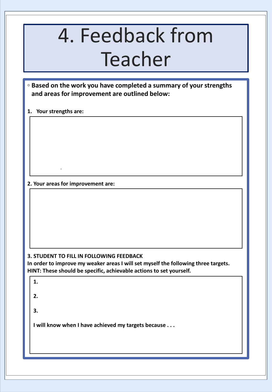# 4. Feedback from Teacher

◦ **Based on the work you have completed a summary of your strengths and areas for improvement are outlined below:**

**1. Your strengths are:**

**2. Your areas for improvement are:**

.

#### **3. STUDENT TO FILL IN FOLLOWING FEEDBACK**

**In order to improve my weaker areas I will set myself the following three targets. HINT: These should be specific, achievable actions to set yourself.** 

| 1.                                                  |  |
|-----------------------------------------------------|--|
| 2.                                                  |  |
| 3.                                                  |  |
| I will know when I have achieved my targets because |  |
|                                                     |  |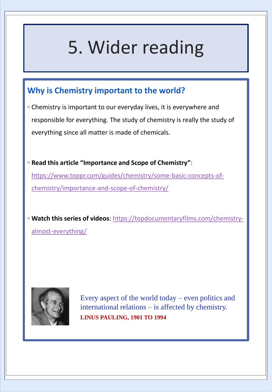# 5. Wider reading

### **Why is Chemistry important to the world?**

- Chemistry is important to our everyday lives, it is everywhere and responsible for everything. The study of chemistry is really the study of everything since all matter is made of chemicals.
- **Read this article "Importance and Scope of Chemistry"**: [https://www.toppr.com/guides/chemistry/some-basic-concepts-of](https://www.toppr.com/guides/chemistry/some-basic-concepts-of-chemistry/importance-and-scope-of-chemistry/)chemistry/importance-and-scope-of-chemistry/

◦ **Watch this series of videos**[: https://topdocumentaryfilms.com/chemistry](https://topdocumentaryfilms.com/chemistry-almost-everything/)almost-everything/



Every aspect of the world today – even politics and international relations – is affected by chemistry. **LINUS PAULING, 1901 TO 1994**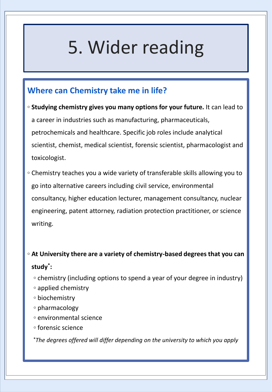## 5. Wider reading

### **Where can Chemistry take me in life?**

- **Studying chemistry gives you many options for your future.** It can lead to a career in industries such as manufacturing, pharmaceuticals, petrochemicals and healthcare. Specific job roles include analytical scientist, chemist, medical scientist, forensic scientist, pharmacologist and toxicologist.
- Chemistry teaches you a wide variety of transferable skills allowing you to go into alternative careers including civil service, environmental consultancy, higher education lecturer, management consultancy, nuclear engineering, patent attorney, radiation protection practitioner, or science writing.

### ◦ **At University there are a variety of chemistry-based degrees that you can study\* :**

- chemistry (including options to spend a year of your degree in industry)
- applied chemistry
- biochemistry
- pharmacology
- environmental science
- forensic science

**\****The degrees offered will differ depending on the university to which you apply*